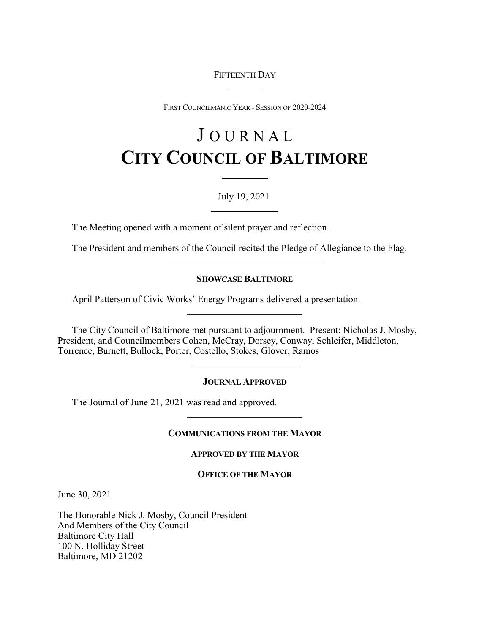# FIFTEENTH DAY

 $\overline{a}$ 

 $\overline{a}$ 

FIRST COUNCILMANIC YEAR - SESSION OF 2020-2024

# J O U R N A L **CITY COUNCIL OF BALTIMORE**

# July 19, 2021

The Meeting opened with a moment of silent prayer and reflection.

The President and members of the Council recited the Pledge of Allegiance to the Flag.

## **SHOWCASE BALTIMORE**

\_\_\_\_\_\_\_\_\_\_\_\_\_\_\_\_\_\_\_\_\_\_\_\_

April Patterson of Civic Works' Energy Programs delivered a presentation.

The City Council of Baltimore met pursuant to adjournment. Present: Nicholas J. Mosby, President, and Councilmembers Cohen, McCray, Dorsey, Conway, Schleifer, Middleton, Torrence, Burnett, Bullock, Porter, Costello, Stokes, Glover, Ramos

## **JOURNAL APPROVED**

The Journal of June 21, 2021 was read and approved.

 $\overline{a}$ 

## **COMMUNICATIONS FROM THE MAYOR**

\_\_\_\_\_\_\_\_\_\_\_\_\_\_\_\_\_\_\_\_\_\_\_\_

## **APPROVED BY THE MAYOR**

#### **OFFICE OF THE MAYOR**

June 30, 2021

The Honorable Nick J. Mosby, Council President And Members of the City Council Baltimore City Hall 100 N. Holliday Street Baltimore, MD 21202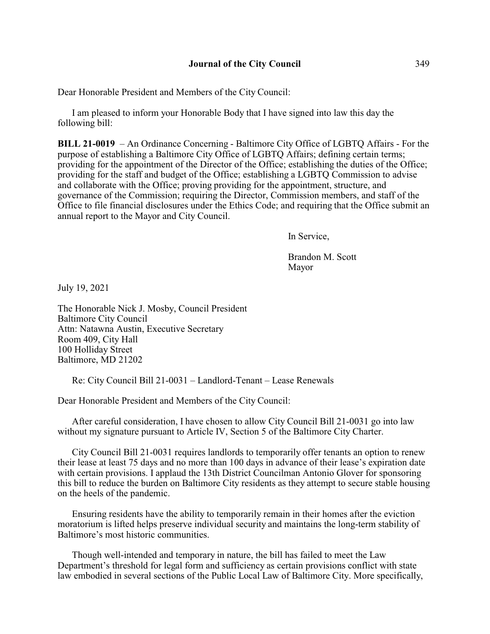Dear Honorable President and Members of the City Council:

I am pleased to inform your Honorable Body that I have signed into law this day the following bill:

**BILL 21-0019** – An Ordinance Concerning - Baltimore City Office of LGBTQ Affairs - For the purpose of establishing a Baltimore City Office of LGBTQ Affairs; defining certain terms; providing for the appointment of the Director of the Office; establishing the duties of the Office; providing for the staff and budget of the Office; establishing a LGBTQ Commission to advise and collaborate with the Office; proving providing for the appointment, structure, and governance of the Commission; requiring the Director, Commission members, and staff of the Office to file financial disclosures under the Ethics Code; and requiring that the Office submit an annual report to the Mayor and City Council.

In Service,

Brandon M. Scott Mayor

July 19, 2021

The Honorable Nick J. Mosby, Council President Baltimore City Council Attn: Natawna Austin, Executive Secretary Room 409, City Hall 100 Holliday Street Baltimore, MD 21202

Re: City Council Bill 21-0031 – Landlord-Tenant – Lease Renewals

Dear Honorable President and Members of the City Council:

After careful consideration, I have chosen to allow City Council Bill 21-0031 go into law without my signature pursuant to Article IV, Section 5 of the Baltimore City Charter.

City Council Bill 21-0031 requires landlords to temporarily offer tenants an option to renew their lease at least 75 days and no more than 100 days in advance of their lease's expiration date with certain provisions. I applaud the 13th District Councilman Antonio Glover for sponsoring this bill to reduce the burden on Baltimore City residents as they attempt to secure stable housing on the heels of the pandemic.

Ensuring residents have the ability to temporarily remain in their homes after the eviction moratorium is lifted helps preserve individual security and maintains the long-term stability of Baltimore's most historic communities.

Though well-intended and temporary in nature, the bill has failed to meet the Law Department's threshold for legal form and sufficiency as certain provisions conflict with state law embodied in several sections of the Public Local Law of Baltimore City. More specifically,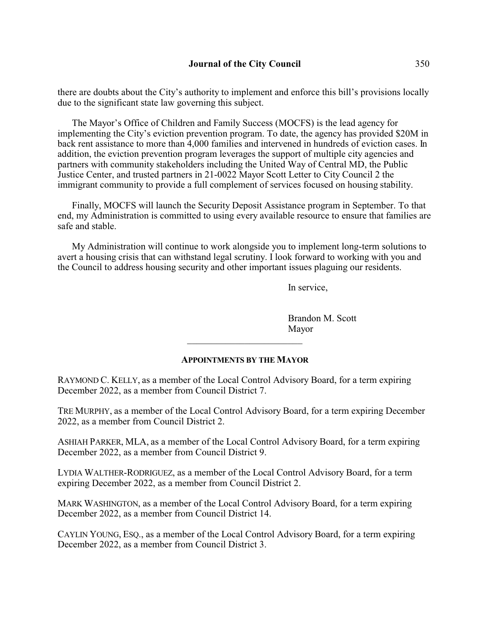there are doubts about the City's authority to implement and enforce this bill's provisions locally due to the significant state law governing this subject.

The Mayor's Office of Children and Family Success (MOCFS) is the lead agency for implementing the City's eviction prevention program. To date, the agency has provided \$20M in back rent assistance to more than 4,000 families and intervened in hundreds of eviction cases. In addition, the eviction prevention program leverages the support of multiple city agencies and partners with community stakeholders including the United Way of Central MD, the Public Justice Center, and trusted partners in 21-0022 Mayor Scott Letter to City Council 2 the immigrant community to provide a full complement of services focused on housing stability.

Finally, MOCFS will launch the Security Deposit Assistance program in September. To that end, my Administration is committed to using every available resource to ensure that families are safe and stable.

My Administration will continue to work alongside you to implement long-term solutions to avert a housing crisis that can withstand legal scrutiny. I look forward to working with you and the Council to address housing security and other important issues plaguing our residents.

In service,

Brandon M. Scott Mayor

## **APPOINTMENTS BY THE MAYOR**

\_\_\_\_\_\_\_\_\_\_\_\_\_\_\_\_\_\_\_\_\_\_\_\_

RAYMOND C. KELLY, as a member of the Local Control Advisory Board, for a term expiring December 2022, as a member from Council District 7.

TRE MURPHY, as a member of the Local Control Advisory Board, for a term expiring December 2022, as a member from Council District 2.

ASHIAH PARKER, MLA, as a member of the Local Control Advisory Board, for a term expiring December 2022, as a member from Council District 9.

LYDIA WALTHER-RODRIGUEZ, as a member of the Local Control Advisory Board, for a term expiring December 2022, as a member from Council District 2.

MARK WASHINGTON, as a member of the Local Control Advisory Board, for a term expiring December 2022, as a member from Council District 14.

CAYLIN YOUNG, ESQ., as a member of the Local Control Advisory Board, for a term expiring December 2022, as a member from Council District 3.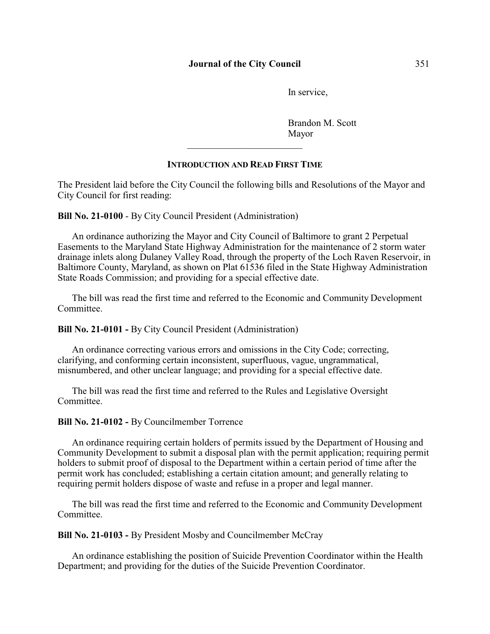## **Journal of the City Council** 351

In service,

Brandon M. Scott Mayor

## **INTRODUCTION AND READ FIRST TIME**

The President laid before the City Council the following bills and Resolutions of the Mayor and City Council for first reading:

**Bill No. 21-0100** - By City Council President (Administration)

An ordinance authorizing the Mayor and City Council of Baltimore to grant 2 Perpetual Easements to the Maryland State Highway Administration for the maintenance of 2 storm water drainage inlets along Dulaney Valley Road, through the property of the Loch Raven Reservoir, in Baltimore County, Maryland, as shown on Plat 61536 filed in the State Highway Administration State Roads Commission; and providing for a special effective date.

The bill was read the first time and referred to the Economic and Community Development Committee.

**Bill No. 21-0101 -** By City Council President (Administration)

An ordinance correcting various errors and omissions in the City Code; correcting, clarifying, and conforming certain inconsistent, superfluous, vague, ungrammatical, misnumbered, and other unclear language; and providing for a special effective date.

The bill was read the first time and referred to the Rules and Legislative Oversight Committee.

**Bill No. 21-0102 -** By Councilmember Torrence

An ordinance requiring certain holders of permits issued by the Department of Housing and Community Development to submit a disposal plan with the permit application; requiring permit holders to submit proof of disposal to the Department within a certain period of time after the permit work has concluded; establishing a certain citation amount; and generally relating to requiring permit holders dispose of waste and refuse in a proper and legal manner.

The bill was read the first time and referred to the Economic and Community Development Committee.

**Bill No. 21-0103 -** By President Mosby and Councilmember McCray

An ordinance establishing the position of Suicide Prevention Coordinator within the Health Department; and providing for the duties of the Suicide Prevention Coordinator.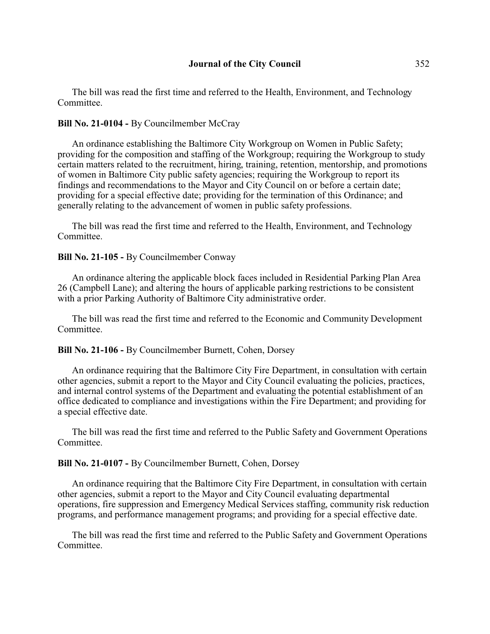The bill was read the first time and referred to the Health, Environment, and Technology Committee.

# **Bill No. 21-0104 -** By Councilmember McCray

An ordinance establishing the Baltimore City Workgroup on Women in Public Safety; providing for the composition and staffing of the Workgroup; requiring the Workgroup to study certain matters related to the recruitment, hiring, training, retention, mentorship, and promotions of women in Baltimore City public safety agencies; requiring the Workgroup to report its findings and recommendations to the Mayor and City Council on or before a certain date; providing for a special effective date; providing for the termination of this Ordinance; and generally relating to the advancement of women in public safety professions.

The bill was read the first time and referred to the Health, Environment, and Technology Committee.

#### **Bill No. 21-105 - By Councilmember Conway**

An ordinance altering the applicable block faces included in Residential Parking Plan Area 26 (Campbell Lane); and altering the hours of applicable parking restrictions to be consistent with a prior Parking Authority of Baltimore City administrative order.

The bill was read the first time and referred to the Economic and Community Development **Committee** 

## **Bill No. 21-106 -** By Councilmember Burnett, Cohen, Dorsey

An ordinance requiring that the Baltimore City Fire Department, in consultation with certain other agencies, submit a report to the Mayor and City Council evaluating the policies, practices, and internal control systems of the Department and evaluating the potential establishment of an office dedicated to compliance and investigations within the Fire Department; and providing for a special effective date.

The bill was read the first time and referred to the Public Safety and Government Operations **Committee** 

#### **Bill No. 21-0107 -** By Councilmember Burnett, Cohen, Dorsey

An ordinance requiring that the Baltimore City Fire Department, in consultation with certain other agencies, submit a report to the Mayor and City Council evaluating departmental operations, fire suppression and Emergency Medical Services staffing, community risk reduction programs, and performance management programs; and providing for a special effective date.

The bill was read the first time and referred to the Public Safety and Government Operations Committee.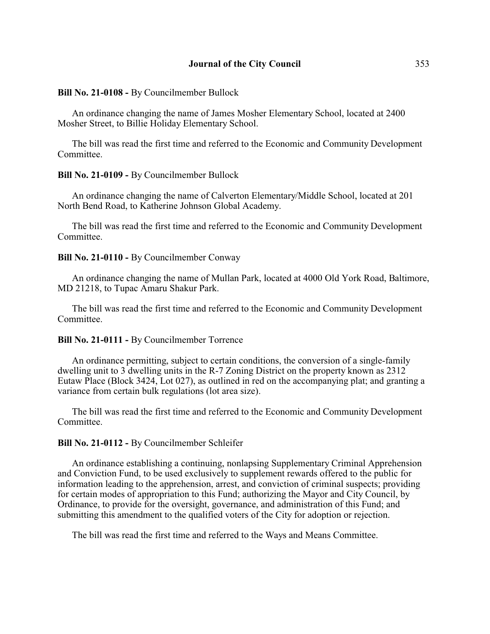**Bill No. 21-0108 -** By Councilmember Bullock

An ordinance changing the name of James Mosher Elementary School, located at 2400 Mosher Street, to Billie Holiday Elementary School.

The bill was read the first time and referred to the Economic and Community Development Committee.

#### **Bill No. 21-0109 -** By Councilmember Bullock

An ordinance changing the name of Calverton Elementary/Middle School, located at 201 North Bend Road, to Katherine Johnson Global Academy.

The bill was read the first time and referred to the Economic and Community Development **Committee** 

#### **Bill No. 21-0110 - By Councilmember Conway**

An ordinance changing the name of Mullan Park, located at 4000 Old York Road, Baltimore, MD 21218, to Tupac Amaru Shakur Park.

The bill was read the first time and referred to the Economic and Community Development Committee.

#### **Bill No. 21-0111 -** By Councilmember Torrence

An ordinance permitting, subject to certain conditions, the conversion of a single-family dwelling unit to 3 dwelling units in the R-7 Zoning District on the property known as 2312 Eutaw Place (Block 3424, Lot 027), as outlined in red on the accompanying plat; and granting a variance from certain bulk regulations (lot area size).

The bill was read the first time and referred to the Economic and Community Development Committee.

#### **Bill No. 21-0112 -** By Councilmember Schleifer

An ordinance establishing a continuing, nonlapsing Supplementary Criminal Apprehension and Conviction Fund, to be used exclusively to supplement rewards offered to the public for information leading to the apprehension, arrest, and conviction of criminal suspects; providing for certain modes of appropriation to this Fund; authorizing the Mayor and City Council, by Ordinance, to provide for the oversight, governance, and administration of this Fund; and submitting this amendment to the qualified voters of the City for adoption or rejection.

The bill was read the first time and referred to the Ways and Means Committee.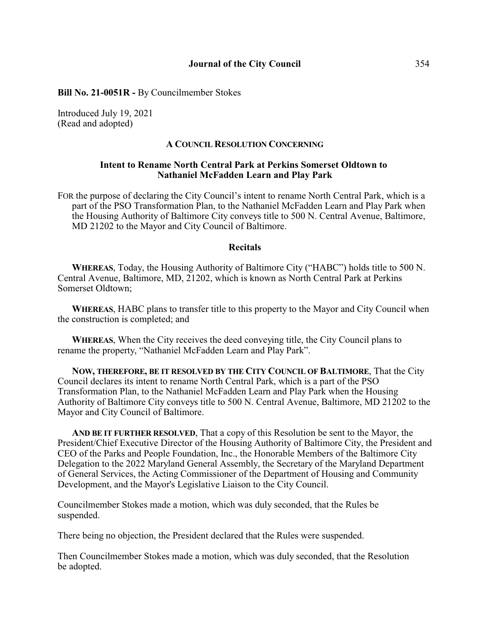#### **Bill No. 21-0051R -** By Councilmember Stokes

Introduced July 19, 2021 (Read and adopted)

#### **A COUNCIL RESOLUTION CONCERNING**

## **Intent to Rename North Central Park at Perkins Somerset Oldtown to Nathaniel McFadden Learn and Play Park**

FOR the purpose of declaring the City Council's intent to rename North Central Park, which is a part of the PSO Transformation Plan, to the Nathaniel McFadden Learn and Play Park when the Housing Authority of Baltimore City conveys title to 500 N. Central Avenue, Baltimore, MD 21202 to the Mayor and City Council of Baltimore.

#### **Recitals**

**WHEREAS**, Today, the Housing Authority of Baltimore City ("HABC") holds title to 500 N. Central Avenue, Baltimore, MD, 21202, which is known as North Central Park at Perkins Somerset Oldtown;

**WHEREAS**, HABC plans to transfer title to this property to the Mayor and City Council when the construction is completed; and

**WHEREAS**, When the City receives the deed conveying title, the City Council plans to rename the property, "Nathaniel McFadden Learn and Play Park".

**NOW, THEREFORE, BE IT RESOLVED BY THE CITY COUNCIL OF BALTIMORE**, That the City Council declares its intent to rename North Central Park, which is a part of the PSO Transformation Plan, to the Nathaniel McFadden Learn and Play Park when the Housing Authority of Baltimore City conveys title to 500 N. Central Avenue, Baltimore, MD 21202 to the Mayor and City Council of Baltimore.

**AND BE IT FURTHER RESOLVED**, That a copy of this Resolution be sent to the Mayor, the President/Chief Executive Director of the Housing Authority of Baltimore City, the President and CEO of the Parks and People Foundation, Inc., the Honorable Members of the Baltimore City Delegation to the 2022 Maryland General Assembly, the Secretary of the Maryland Department of General Services, the Acting Commissioner of the Department of Housing and Community Development, and the Mayor's Legislative Liaison to the City Council.

Councilmember Stokes made a motion, which was duly seconded, that the Rules be suspended.

There being no objection, the President declared that the Rules were suspended.

Then Councilmember Stokes made a motion, which was duly seconded, that the Resolution be adopted.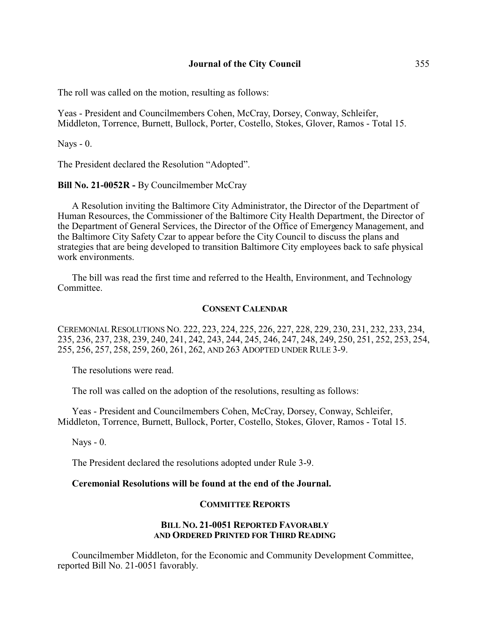The roll was called on the motion, resulting as follows:

Yeas - President and Councilmembers Cohen, McCray, Dorsey, Conway, Schleifer, Middleton, Torrence, Burnett, Bullock, Porter, Costello, Stokes, Glover, Ramos - Total 15.

Nays - 0.

The President declared the Resolution "Adopted".

**Bill No. 21-0052R -** By Councilmember McCray

A Resolution inviting the Baltimore City Administrator, the Director of the Department of Human Resources, the Commissioner of the Baltimore City Health Department, the Director of the Department of General Services, the Director of the Office of Emergency Management, and the Baltimore City Safety Czar to appear before the City Council to discuss the plans and strategies that are being developed to transition Baltimore City employees back to safe physical work environments.

The bill was read the first time and referred to the Health, Environment, and Technology Committee.

## **CONSENT CALENDAR**

CEREMONIAL RESOLUTIONS NO. 222, 223, 224, 225, 226, 227, 228, 229, 230, 231, 232, 233, 234, 235, 236, 237, 238, 239, 240, 241, 242, 243, 244, 245, 246, 247, 248, 249, 250, 251, 252, 253, 254, 255, 256, 257, 258, 259, 260, 261, 262, AND 263 ADOPTED UNDER RULE 3-9.

The resolutions were read.

The roll was called on the adoption of the resolutions, resulting as follows:

Yeas - President and Councilmembers Cohen, McCray, Dorsey, Conway, Schleifer, Middleton, Torrence, Burnett, Bullock, Porter, Costello, Stokes, Glover, Ramos - Total 15.

Nays - 0.

The President declared the resolutions adopted under Rule 3-9.

## **Ceremonial Resolutions will be found at the end of the Journal.**

## **COMMITTEE REPORTS**

# **BILL NO. 21-0051 REPORTED FAVORABLY AND ORDERED PRINTED FOR THIRD READING**

Councilmember Middleton, for the Economic and Community Development Committee, reported Bill No. 21-0051 favorably.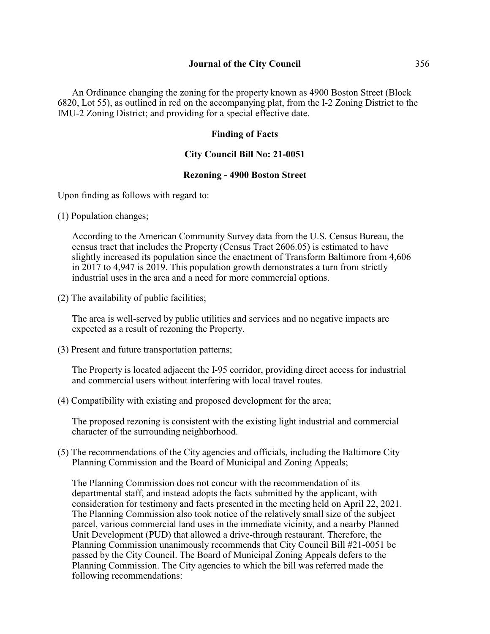An Ordinance changing the zoning for the property known as 4900 Boston Street (Block 6820, Lot 55), as outlined in red on the accompanying plat, from the I-2 Zoning District to the IMU-2 Zoning District; and providing for a special effective date.

# **Finding of Facts**

## **City Council Bill No: 21-0051**

# **Rezoning - 4900 Boston Street**

Upon finding as follows with regard to:

(1) Population changes;

According to the American Community Survey data from the U.S. Census Bureau, the census tract that includes the Property (Census Tract 2606.05) is estimated to have slightly increased its population since the enactment of Transform Baltimore from 4,606 in 2017 to 4,947 is 2019. This population growth demonstrates a turn from strictly industrial uses in the area and a need for more commercial options.

(2) The availability of public facilities;

The area is well-served by public utilities and services and no negative impacts are expected as a result of rezoning the Property.

(3) Present and future transportation patterns;

The Property is located adjacent the I-95 corridor, providing direct access for industrial and commercial users without interfering with local travel routes.

(4) Compatibility with existing and proposed development for the area;

The proposed rezoning is consistent with the existing light industrial and commercial character of the surrounding neighborhood.

(5) The recommendations of the City agencies and officials, including the Baltimore City Planning Commission and the Board of Municipal and Zoning Appeals;

The Planning Commission does not concur with the recommendation of its departmental staff, and instead adopts the facts submitted by the applicant, with consideration for testimony and facts presented in the meeting held on April 22, 2021. The Planning Commission also took notice of the relatively small size of the subject parcel, various commercial land uses in the immediate vicinity, and a nearby Planned Unit Development (PUD) that allowed a drive-through restaurant. Therefore, the Planning Commission unanimously recommends that City Council Bill #21-0051 be passed by the City Council. The Board of Municipal Zoning Appeals defers to the Planning Commission. The City agencies to which the bill was referred made the following recommendations: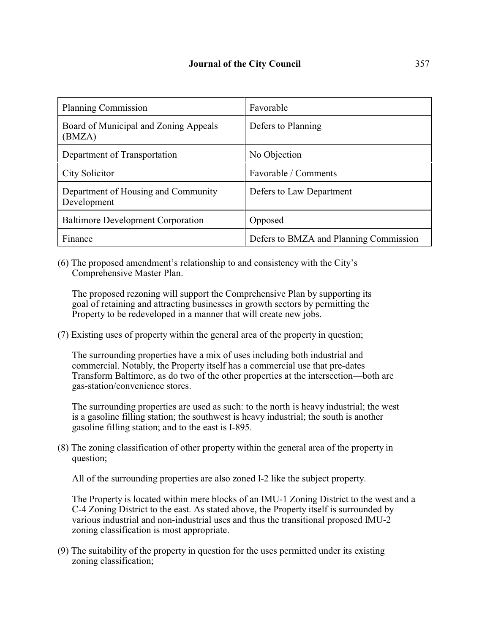| <b>Planning Commission</b>                         | Favorable                              |
|----------------------------------------------------|----------------------------------------|
| Board of Municipal and Zoning Appeals<br>(BMZA)    | Defers to Planning                     |
| Department of Transportation                       | No Objection                           |
| City Solicitor                                     | Favorable / Comments                   |
| Department of Housing and Community<br>Development | Defers to Law Department               |
| <b>Baltimore Development Corporation</b>           | Opposed                                |
| Finance                                            | Defers to BMZA and Planning Commission |

(6) The proposed amendment's relationship to and consistency with the City's Comprehensive Master Plan.

The proposed rezoning will support the Comprehensive Plan by supporting its goal of retaining and attracting businesses in growth sectors by permitting the Property to be redeveloped in a manner that will create new jobs.

(7) Existing uses of property within the general area of the property in question;

The surrounding properties have a mix of uses including both industrial and commercial. Notably, the Property itself has a commercial use that pre-dates Transform Baltimore, as do two of the other properties at the intersection—both are gas-station/convenience stores.

The surrounding properties are used as such: to the north is heavy industrial; the west is a gasoline filling station; the southwest is heavy industrial; the south is another gasoline filling station; and to the east is I-895.

(8) The zoning classification of other property within the general area of the property in question;

All of the surrounding properties are also zoned I-2 like the subject property.

The Property is located within mere blocks of an IMU-1 Zoning District to the west and a C-4 Zoning District to the east. As stated above, the Property itself is surrounded by various industrial and non-industrial uses and thus the transitional proposed IMU-2 zoning classification is most appropriate.

(9) The suitability of the property in question for the uses permitted under its existing zoning classification;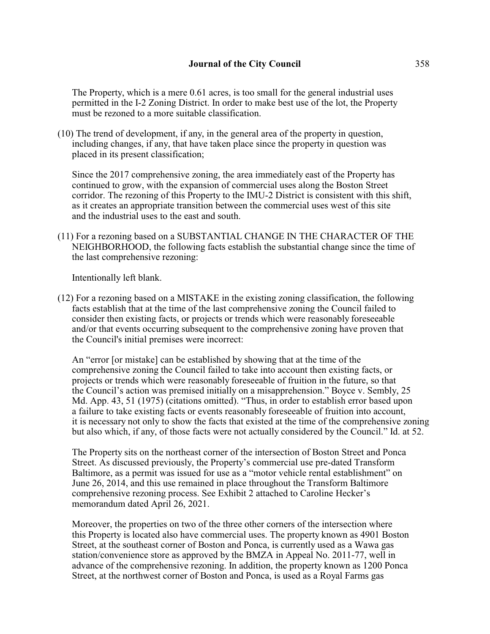The Property, which is a mere 0.61 acres, is too small for the general industrial uses permitted in the I-2 Zoning District. In order to make best use of the lot, the Property must be rezoned to a more suitable classification.

(10) The trend of development, if any, in the general area of the property in question, including changes, if any, that have taken place since the property in question was placed in its present classification;

Since the 2017 comprehensive zoning, the area immediately east of the Property has continued to grow, with the expansion of commercial uses along the Boston Street corridor. The rezoning of this Property to the IMU-2 District is consistent with this shift, as it creates an appropriate transition between the commercial uses west of this site and the industrial uses to the east and south.

(11) For a rezoning based on a SUBSTANTIAL CHANGE IN THE CHARACTER OF THE NEIGHBORHOOD, the following facts establish the substantial change since the time of the last comprehensive rezoning:

Intentionally left blank.

(12) For a rezoning based on a MISTAKE in the existing zoning classification, the following facts establish that at the time of the last comprehensive zoning the Council failed to consider then existing facts, or projects or trends which were reasonably foreseeable and/or that events occurring subsequent to the comprehensive zoning have proven that the Council's initial premises were incorrect:

An "error [or mistake] can be established by showing that at the time of the comprehensive zoning the Council failed to take into account then existing facts, or projects or trends which were reasonably foreseeable of fruition in the future, so that the Council's action was premised initially on a misapprehension." Boyce v. Sembly, 25 Md. App. 43, 51 (1975) (citations omitted). "Thus, in order to establish error based upon a failure to take existing facts or events reasonably foreseeable of fruition into account, it is necessary not only to show the facts that existed at the time of the comprehensive zoning but also which, if any, of those facts were not actually considered by the Council." Id. at 52.

The Property sits on the northeast corner of the intersection of Boston Street and Ponca Street. As discussed previously, the Property's commercial use pre-dated Transform Baltimore, as a permit was issued for use as a "motor vehicle rental establishment" on June 26, 2014, and this use remained in place throughout the Transform Baltimore comprehensive rezoning process. See Exhibit 2 attached to Caroline Hecker's memorandum dated April 26, 2021.

Moreover, the properties on two of the three other corners of the intersection where this Property is located also have commercial uses. The property known as 4901 Boston Street, at the southeast corner of Boston and Ponca, is currently used as a Wawa gas station/convenience store as approved by the BMZA in Appeal No. 2011-77, well in advance of the comprehensive rezoning. In addition, the property known as 1200 Ponca Street, at the northwest corner of Boston and Ponca, is used as a Royal Farms gas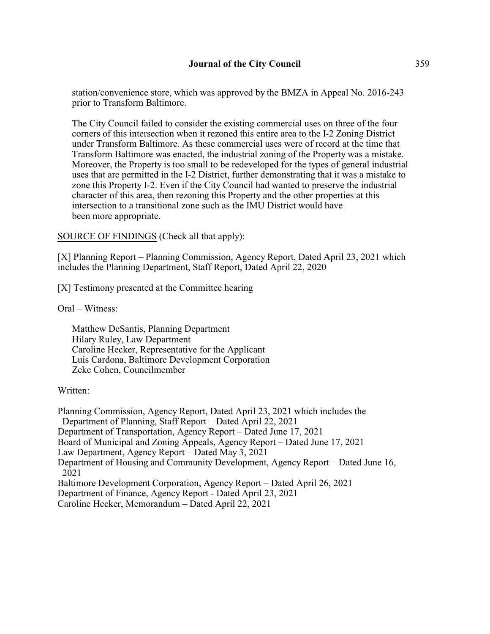station/convenience store, which was approved by the BMZA in Appeal No. 2016-243 prior to Transform Baltimore.

The City Council failed to consider the existing commercial uses on three of the four corners of this intersection when it rezoned this entire area to the I-2 Zoning District under Transform Baltimore. As these commercial uses were of record at the time that Transform Baltimore was enacted, the industrial zoning of the Property was a mistake. Moreover, the Property is too small to be redeveloped for the types of general industrial uses that are permitted in the I-2 District, further demonstrating that it was a mistake to zone this Property I-2. Even if the City Council had wanted to preserve the industrial character of this area, then rezoning this Property and the other properties at this intersection to a transitional zone such as the IMU District would have been more appropriate.

SOURCE OF FINDINGS (Check all that apply):

[X] Planning Report – Planning Commission, Agency Report, Dated April 23, 2021 which includes the Planning Department, Staff Report, Dated April 22, 2020

[X] Testimony presented at the Committee hearing

Oral – Witness:

Matthew DeSantis, Planning Department Hilary Ruley, Law Department Caroline Hecker, Representative for the Applicant Luis Cardona, Baltimore Development Corporation Zeke Cohen, Councilmember

#### Written:

Planning Commission, Agency Report, Dated April 23, 2021 which includes the Department of Planning, Staff Report – Dated April 22, 2021 Department of Transportation, Agency Report – Dated June 17, 2021 Board of Municipal and Zoning Appeals, Agency Report – Dated June 17, 2021 Law Department, Agency Report – Dated May 3, 2021 Department of Housing and Community Development, Agency Report – Dated June 16, 2021 Baltimore Development Corporation, Agency Report – Dated April 26, 2021 Department of Finance, Agency Report - Dated April 23, 2021 Caroline Hecker, Memorandum – Dated April 22, 2021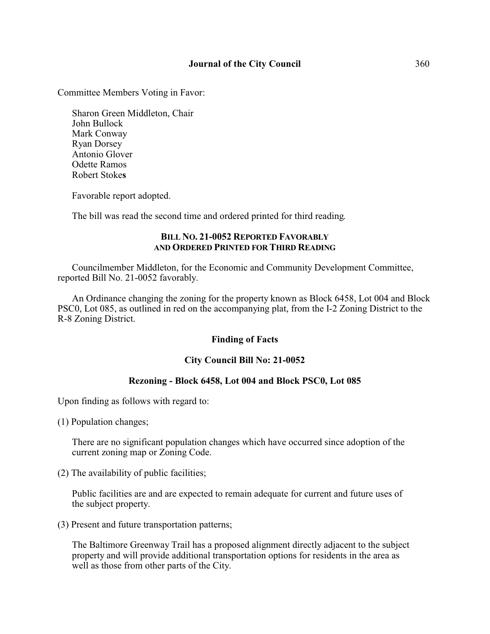# **Journal of the City Council** 360

Committee Members Voting in Favor:

Sharon Green Middleton, Chair John Bullock Mark Conway Ryan Dorsey Antonio Glover Odette Ramos Robert Stoke**s**

Favorable report adopted.

The bill was read the second time and ordered printed for third reading.

## **BILL NO. 21-0052 REPORTED FAVORABLY AND ORDERED PRINTED FOR THIRD READING**

Councilmember Middleton, for the Economic and Community Development Committee, reported Bill No. 21-0052 favorably.

An Ordinance changing the zoning for the property known as Block 6458, Lot 004 and Block PSC0, Lot 085, as outlined in red on the accompanying plat, from the I-2 Zoning District to the R-8 Zoning District.

# **Finding of Facts**

## **City Council Bill No: 21-0052**

# **Rezoning - Block 6458, Lot 004 and Block PSC0, Lot 085**

Upon finding as follows with regard to:

(1) Population changes;

There are no significant population changes which have occurred since adoption of the current zoning map or Zoning Code.

(2) The availability of public facilities;

Public facilities are and are expected to remain adequate for current and future uses of the subject property.

(3) Present and future transportation patterns;

The Baltimore Greenway Trail has a proposed alignment directly adjacent to the subject property and will provide additional transportation options for residents in the area as well as those from other parts of the City.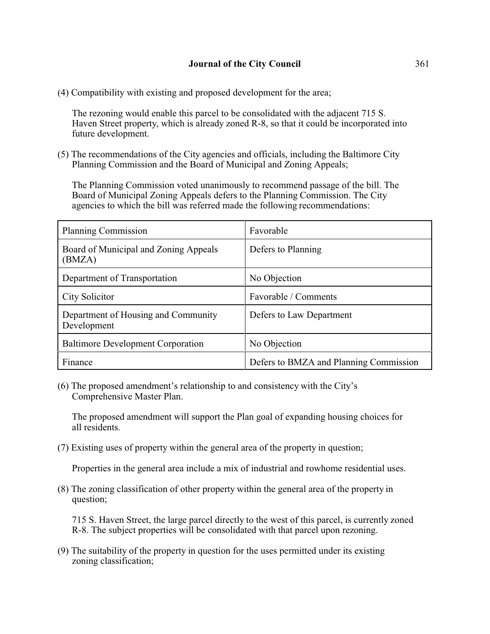(4) Compatibility with existing and proposed development for the area;

The rezoning would enable this parcel to be consolidated with the adjacent 715 S. Haven Street property, which is already zoned R-8, so that it could be incorporated into future development.

(5) The recommendations of the City agencies and officials, including the Baltimore City Planning Commission and the Board of Municipal and Zoning Appeals;

The Planning Commission voted unanimously to recommend passage of the bill. The Board of Municipal Zoning Appeals defers to the Planning Commission. The City agencies to which the bill was referred made the following recommendations:

| <b>Planning Commission</b>                         | Favorable                              |
|----------------------------------------------------|----------------------------------------|
| Board of Municipal and Zoning Appeals<br>(BMZA)    | Defers to Planning                     |
| Department of Transportation                       | No Objection                           |
| City Solicitor                                     | Favorable / Comments                   |
| Department of Housing and Community<br>Development | Defers to Law Department               |
| <b>Baltimore Development Corporation</b>           | No Objection                           |
| Finance                                            | Defers to BMZA and Planning Commission |

(6) The proposed amendment's relationship to and consistency with the City's Comprehensive Master Plan.

The proposed amendment will support the Plan goal of expanding housing choices for all residents.

(7) Existing uses of property within the general area of the property in question;

Properties in the general area include a mix of industrial and rowhome residential uses.

(8) The zoning classification of other property within the general area of the property in question;

715 S. Haven Street, the large parcel directly to the west of this parcel, is currently zoned R-8. The subject properties will be consolidated with that parcel upon rezoning.

(9) The suitability of the property in question for the uses permitted under its existing zoning classification;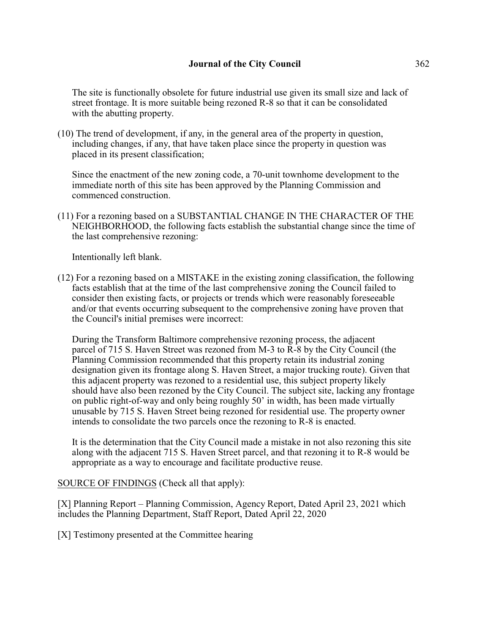The site is functionally obsolete for future industrial use given its small size and lack of street frontage. It is more suitable being rezoned R-8 so that it can be consolidated with the abutting property.

(10) The trend of development, if any, in the general area of the property in question, including changes, if any, that have taken place since the property in question was placed in its present classification;

Since the enactment of the new zoning code, a 70-unit townhome development to the immediate north of this site has been approved by the Planning Commission and commenced construction.

(11) For a rezoning based on a SUBSTANTIAL CHANGE IN THE CHARACTER OF THE NEIGHBORHOOD, the following facts establish the substantial change since the time of the last comprehensive rezoning:

Intentionally left blank.

(12) For a rezoning based on a MISTAKE in the existing zoning classification, the following facts establish that at the time of the last comprehensive zoning the Council failed to consider then existing facts, or projects or trends which were reasonably foreseeable and/or that events occurring subsequent to the comprehensive zoning have proven that the Council's initial premises were incorrect:

During the Transform Baltimore comprehensive rezoning process, the adjacent parcel of 715 S. Haven Street was rezoned from M-3 to R-8 by the City Council (the Planning Commission recommended that this property retain its industrial zoning designation given its frontage along S. Haven Street, a major trucking route). Given that this adjacent property was rezoned to a residential use, this subject property likely should have also been rezoned by the City Council. The subject site, lacking any frontage on public right-of-way and only being roughly 50' in width, has been made virtually unusable by 715 S. Haven Street being rezoned for residential use. The property owner intends to consolidate the two parcels once the rezoning to R-8 is enacted.

It is the determination that the City Council made a mistake in not also rezoning this site along with the adjacent 715 S. Haven Street parcel, and that rezoning it to R-8 would be appropriate as a way to encourage and facilitate productive reuse.

SOURCE OF FINDINGS (Check all that apply):

[X] Planning Report – Planning Commission, Agency Report, Dated April 23, 2021 which includes the Planning Department, Staff Report, Dated April 22, 2020

[X] Testimony presented at the Committee hearing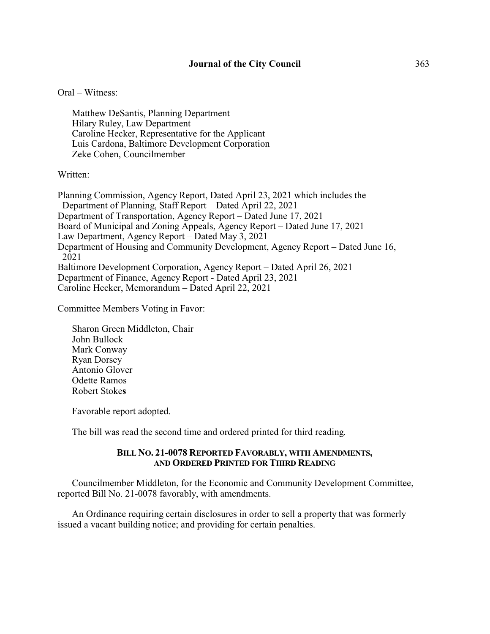## Oral – Witness:

Matthew DeSantis, Planning Department Hilary Ruley, Law Department Caroline Hecker, Representative for the Applicant Luis Cardona, Baltimore Development Corporation Zeke Cohen, Councilmember

#### Written:

Planning Commission, Agency Report, Dated April 23, 2021 which includes the Department of Planning, Staff Report – Dated April 22, 2021 Department of Transportation, Agency Report – Dated June 17, 2021 Board of Municipal and Zoning Appeals, Agency Report – Dated June 17, 2021 Law Department, Agency Report – Dated May 3, 2021 Department of Housing and Community Development, Agency Report – Dated June 16, 2021 Baltimore Development Corporation, Agency Report – Dated April 26, 2021 Department of Finance, Agency Report - Dated April 23, 2021 Caroline Hecker, Memorandum – Dated April 22, 2021

Committee Members Voting in Favor:

Sharon Green Middleton, Chair John Bullock Mark Conway Ryan Dorsey Antonio Glover Odette Ramos Robert Stoke**s**

Favorable report adopted.

The bill was read the second time and ordered printed for third reading.

#### **BILL NO. 21-0078 REPORTED FAVORABLY, WITH AMENDMENTS, AND ORDERED PRINTED FOR THIRD READING**

Councilmember Middleton, for the Economic and Community Development Committee, reported Bill No. 21-0078 favorably, with amendments.

An Ordinance requiring certain disclosures in order to sell a property that was formerly issued a vacant building notice; and providing for certain penalties.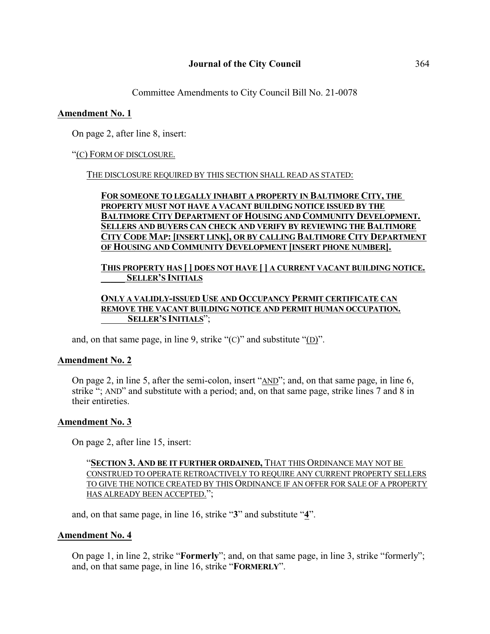Committee Amendments to City Council Bill No. 21-0078

# **Amendment No. 1**

On page 2, after line 8, insert:

"(C) FORM OF DISCLOSURE.

THE DISCLOSURE REQUIRED BY THIS SECTION SHALL READ AS STATED:

# **FOR SOMEONE TO LEGALLY INHABIT A PROPERTY IN BALTIMORE CITY, THE PROPERTY MUST NOT HAVE A VACANT BUILDING NOTICE ISSUED BY THE BALTIMORE CITY DEPARTMENT OF HOUSING AND COMMUNITY DEVELOPMENT. SELLERS AND BUYERS CAN CHECK AND VERIFY BY REVIEWING THE BALTIMORE CITY CODE MAP: [INSERT LINK], OR BY CALLING BALTIMORE CITY DEPARTMENT OF HOUSING AND COMMUNITY DEVELOPMENT [INSERT PHONE NUMBER].**

**THIS PROPERTY HAS [ ] DOES NOT HAVE [ ] A CURRENT VACANT BUILDING NOTICE. \_\_\_\_\_ SELLER'S INITIALS**

# **ONLY A VALIDLY-ISSUED USE AND OCCUPANCY PERMIT CERTIFICATE CAN REMOVE THE VACANT BUILDING NOTICE AND PERMIT HUMAN OCCUPATION. SELLER'S INITIALS**";

and, on that same page, in line 9, strike "(C)" and substitute "(D)".

## **Amendment No. 2**

On page 2, in line 5, after the semi-colon, insert "AND"; and, on that same page, in line 6, strike "; AND" and substitute with a period; and, on that same page, strike lines 7 and 8 in their entireties.

# **Amendment No. 3**

On page 2, after line 15, insert:

"**SECTION 3. AND BE IT FURTHER ORDAINED,** THAT THIS ORDINANCE MAY NOT BE CONSTRUED TO OPERATE RETROACTIVELY TO REQUIRE ANY CURRENT PROPERTY SELLERS TO GIVE THE NOTICE CREATED BY THIS ORDINANCE IF AN OFFER FOR SALE OF A PROPERTY HAS ALREADY BEEN ACCEPTED.";

and, on that same page, in line 16, strike "**3**" and substitute "**4**".

## **Amendment No. 4**

On page 1, in line 2, strike "**Formerly**"; and, on that same page, in line 3, strike "formerly"; and, on that same page, in line 16, strike "**FORMERLY**".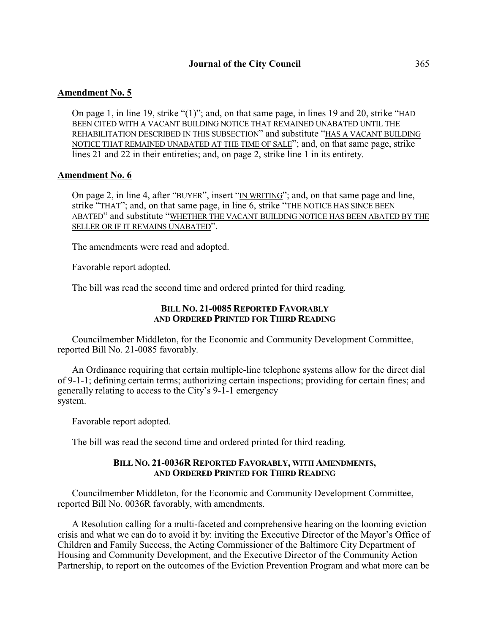# **Amendment No. 5**

On page 1, in line 19, strike "(1)"; and, on that same page, in lines 19 and 20, strike "HAD BEEN CITED WITH A VACANT BUILDING NOTICE THAT REMAINED UNABATED UNTIL THE REHABILITATION DESCRIBED IN THIS SUBSECTION" and substitute "HAS A VACANT BUILDING NOTICE THAT REMAINED UNABATED AT THE TIME OF SALE"; and, on that same page, strike lines 21 and 22 in their entireties; and, on page 2, strike line 1 in its entirety.

## **Amendment No. 6**

On page 2, in line 4, after "BUYER", insert "IN WRITING"; and, on that same page and line, strike "THAT"; and, on that same page, in line 6, strike "THE NOTICE HAS SINCE BEEN ABATED" and substitute "WHETHER THE VACANT BUILDING NOTICE HAS BEEN ABATED BY THE SELLER OR IF IT REMAINS UNABATED".

The amendments were read and adopted.

Favorable report adopted.

The bill was read the second time and ordered printed for third reading.

# **BILL NO. 21-0085 REPORTED FAVORABLY AND ORDERED PRINTED FOR THIRD READING**

Councilmember Middleton, for the Economic and Community Development Committee, reported Bill No. 21-0085 favorably.

An Ordinance requiring that certain multiple-line telephone systems allow for the direct dial of 9-1-1; defining certain terms; authorizing certain inspections; providing for certain fines; and generally relating to access to the City's 9-1-1 emergency system.

Favorable report adopted.

The bill was read the second time and ordered printed for third reading.

#### **BILL NO. 21-0036R REPORTED FAVORABLY, WITH AMENDMENTS, AND ORDERED PRINTED FOR THIRD READING**

Councilmember Middleton, for the Economic and Community Development Committee, reported Bill No. 0036R favorably, with amendments.

A Resolution calling for a multi-faceted and comprehensive hearing on the looming eviction crisis and what we can do to avoid it by: inviting the Executive Director of the Mayor's Office of Children and Family Success, the Acting Commissioner of the Baltimore City Department of Housing and Community Development, and the Executive Director of the Community Action Partnership, to report on the outcomes of the Eviction Prevention Program and what more can be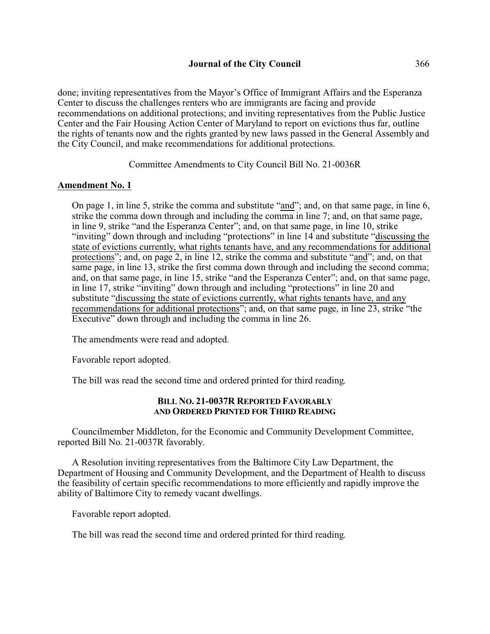done; inviting representatives from the Mayor's Office of Immigrant Affairs and the Esperanza Center to discuss the challenges renters who are immigrants are facing and provide recommendations on additional protections; and inviting representatives from the Public Justice Center and the Fair Housing Action Center of Maryland to report on evictions thus far, outline the rights of tenants now and the rights granted by new laws passed in the General Assembly and the City Council, and make recommendations for additional protections.

Committee Amendments to City Council Bill No. 21-0036R

# **Amendment No. 1**

On page 1, in line 5, strike the comma and substitute "and"; and, on that same page, in line 6, strike the comma down through and including the comma in line 7; and, on that same page, in line 9, strike "and the Esperanza Center"; and, on that same page, in line 10, strike "inviting" down through and including "protections" in line 14 and substitute "discussing the state of evictions currently, what rights tenants have, and any recommendations for additional protections"; and, on page 2, in line 12, strike the comma and substitute "and"; and, on that same page, in line 13, strike the first comma down through and including the second comma; and, on that same page, in line 15, strike "and the Esperanza Center"; and, on that same page, in line 17, strike "inviting" down through and including "protections" in line 20 and substitute "discussing the state of evictions currently, what rights tenants have, and any recommendations for additional protections"; and, on that same page, in line 23, strike "the Executive" down through and including the comma in line 26.

The amendments were read and adopted.

Favorable report adopted.

The bill was read the second time and ordered printed for third reading.

# **BILL NO. 21-0037R REPORTED FAVORABLY AND ORDERED PRINTED FOR THIRD READING**

Councilmember Middleton, for the Economic and Community Development Committee, reported Bill No. 21-0037R favorably.

A Resolution inviting representatives from the Baltimore City Law Department, the Department of Housing and Community Development, and the Department of Health to discuss the feasibility of certain specific recommendations to more efficiently and rapidly improve the ability of Baltimore City to remedy vacant dwellings.

Favorable report adopted.

The bill was read the second time and ordered printed for third reading.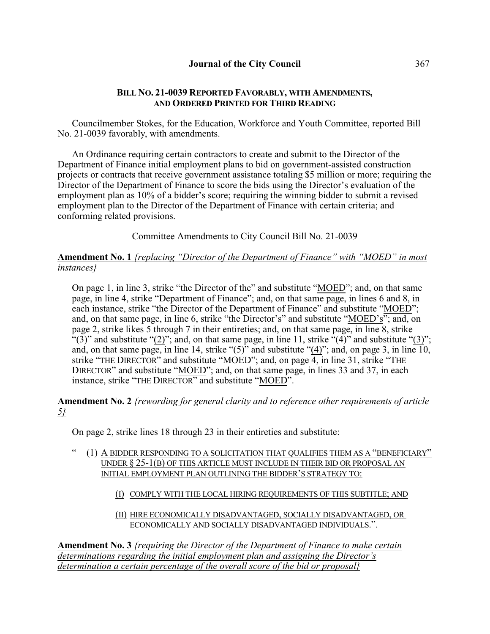# **BILL NO. 21-0039 REPORTED FAVORABLY, WITH AMENDMENTS, AND ORDERED PRINTED FOR THIRD READING**

Councilmember Stokes, for the Education, Workforce and Youth Committee, reported Bill No. 21-0039 favorably, with amendments.

An Ordinance requiring certain contractors to create and submit to the Director of the Department of Finance initial employment plans to bid on government-assisted construction projects or contracts that receive government assistance totaling \$5 million or more; requiring the Director of the Department of Finance to score the bids using the Director's evaluation of the employment plan as 10% of a bidder's score; requiring the winning bidder to submit a revised employment plan to the Director of the Department of Finance with certain criteria; and conforming related provisions.

Committee Amendments to City Council Bill No. 21-0039

# **Amendment No. 1** *{replacing "Director of the Department of Finance" with "MOED" in most instances}*

On page 1, in line 3, strike "the Director of the" and substitute "MOED"; and, on that same page, in line 4, strike "Department of Finance"; and, on that same page, in lines 6 and 8, in each instance, strike "the Director of the Department of Finance" and substitute "MOED"; and, on that same page, in line 6, strike "the Director's" and substitute "MOED's"; and, on page 2, strike likes 5 through 7 in their entireties; and, on that same page, in line 8, strike "(3)" and substitute "(2)"; and, on that same page, in line 11, strike "(4)" and substitute "(3)"; and, on that same page, in line 14, strike " $(5)$ " and substitute " $(4)$ "; and, on page 3, in line 10, strike "THE DIRECTOR" and substitute "MOED"; and, on page 4, in line 31, strike "THE DIRECTOR" and substitute "MOED"; and, on that same page, in lines 33 and 37, in each instance, strike "THE DIRECTOR" and substitute "MOED".

# **Amendment No. 2** *{rewording for general clarity and to reference other requirements of article 5}*

On page 2, strike lines 18 through 23 in their entireties and substitute:

- " (1) A BIDDER RESPONDING TO A SOLICITATION THAT QUALIFIES THEM AS A "BENEFICIARY" UNDER § 25-1(B) OF THIS ARTICLE MUST INCLUDE IN THEIR BID OR PROPOSAL AN INITIAL EMPLOYMENT PLAN OUTLINING THE BIDDER'S STRATEGY TO:
	- (I) COMPLY WITH THE LOCAL HIRING REQUIREMENTS OF THIS SUBTITLE; AND
	- (II) HIRE ECONOMICALLY DISADVANTAGED, SOCIALLY DISADVANTAGED, OR ECONOMICALLY AND SOCIALLY DISADVANTAGED INDIVIDUALS.".

**Amendment No. 3** *{requiring the Director of the Department of Finance to make certain determinations regarding the initial employment plan and assigning the Director's determination a certain percentage of the overall score of the bid or proposal}*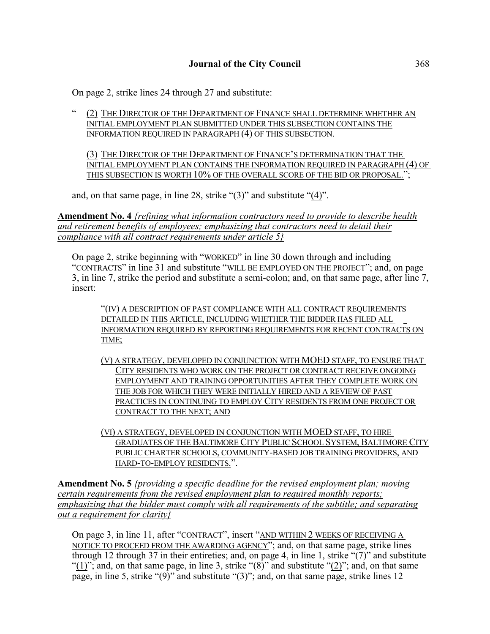On page 2, strike lines 24 through 27 and substitute:

" (2) THE DIRECTOR OF THE DEPARTMENT OF FINANCE SHALL DETERMINE WHETHER AN INITIAL EMPLOYMENT PLAN SUBMITTED UNDER THIS SUBSECTION CONTAINS THE INFORMATION REQUIRED IN PARAGRAPH (4) OF THIS SUBSECTION.

(3) THE DIRECTOR OF THE DEPARTMENT OF FINANCE'S DETERMINATION THAT THE INITIAL EMPLOYMENT PLAN CONTAINS THE INFORMATION REQUIRED IN PARAGRAPH (4) OF THIS SUBSECTION IS WORTH 10% OF THE OVERALL SCORE OF THE BID OR PROPOSAL.";

and, on that same page, in line 28, strike "(3)" and substitute "(4)".

**Amendment No. 4** *{refining what information contractors need to provide to describe health and retirement benefits of employees; emphasizing that contractors need to detail their compliance with all contract requirements under article 5}*

On page 2, strike beginning with "WORKED" in line 30 down through and including "CONTRACTS" in line 31 and substitute "WILL BE EMPLOYED ON THE PROJECT"; and, on page 3, in line 7, strike the period and substitute a semi-colon; and, on that same page, after line 7, insert:

"(IV) A DESCRIPTION OF PAST COMPLIANCE WITH ALL CONTRACT REQUIREMENTS DETAILED IN THIS ARTICLE, INCLUDING WHETHER THE BIDDER HAS FILED ALL INFORMATION REQUIRED BY REPORTING REQUIREMENTS FOR RECENT CONTRACTS ON TIME;

- (V) A STRATEGY, DEVELOPED IN CONJUNCTION WITH MOED STAFF, TO ENSURE THAT CITY RESIDENTS WHO WORK ON THE PROJECT OR CONTRACT RECEIVE ONGOING EMPLOYMENT AND TRAINING OPPORTUNITIES AFTER THEY COMPLETE WORK ON THE JOB FOR WHICH THEY WERE INITIALLY HIRED AND A REVIEW OF PAST PRACTICES IN CONTINUING TO EMPLOY CITY RESIDENTS FROM ONE PROJECT OR CONTRACT TO THE NEXT; AND
- (VI) A STRATEGY, DEVELOPED IN CONJUNCTION WITH MOED STAFF, TO HIRE GRADUATES OF THE BALTIMORE CITY PUBLIC SCHOOL SYSTEM, BALTIMORE CITY PUBLIC CHARTER SCHOOLS, COMMUNITY-BASED JOB TRAINING PROVIDERS, AND HARD-TO-EMPLOY RESIDENTS.".

**Amendment No. 5** *{providing a specific deadline for the revised employment plan; moving certain requirements from the revised employment plan to required monthly reports; emphasizing that the bidder must comply with all requirements of the subtitle; and separating out a requirement for clarity}*

On page 3, in line 11, after "CONTRACT", insert "AND WITHIN 2 WEEKS OF RECEIVING A NOTICE TO PROCEED FROM THE AWARDING AGENCY"; and, on that same page, strike lines through 12 through 37 in their entireties; and, on page 4, in line 1, strike " $(7)$ " and substitute " $(1)$ "; and, on that same page, in line 3, strike " $(8)$ " and substitute " $(2)$ "; and, on that same page, in line 5, strike "(9)" and substitute "(3)"; and, on that same page, strike lines 12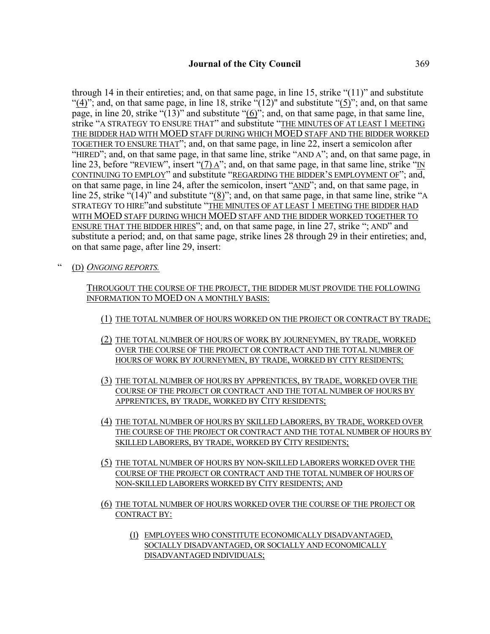through 14 in their entireties; and, on that same page, in line 15, strike "(11)" and substitute "(4)"; and, on that same page, in line 18, strike  $\cdot$  (12)" and substitute "(5)"; and, on that same page, in line 20, strike " $(13)$ " and substitute " $(6)$ "; and, on that same page, in that same line, strike "A STRATEGY TO ENSURE THAT" and substitute "THE MINUTES OF AT LEAST 1 MEETING THE BIDDER HAD WITH MOED STAFF DURING WHICH MOED STAFF AND THE BIDDER WORKED TOGETHER TO ENSURE THAT"; and, on that same page, in line 22, insert a semicolon after "HIRED"; and, on that same page, in that same line, strike "AND A"; and, on that same page, in line 23, before "REVIEW", insert " $(7)$  A"; and, on that same page, in that same line, strike "IN CONTINUING TO EMPLOY" and substitute "REGARDING THE BIDDER'S EMPLOYMENT OF"; and, on that same page, in line 24, after the semicolon, insert "AND"; and, on that same page, in line 25, strike "(14)" and substitute "(8)"; and, on that same page, in that same line, strike "A STRATEGY TO HIRE"and substitute "THE MINUTES OF AT LEAST 1 MEETING THE BIDDER HAD WITH MOED STAFF DURING WHICH MOED STAFF AND THE BIDDER WORKED TOGETHER TO ENSURE THAT THE BIDDER HIRES"; and, on that same page, in line 27, strike "; AND" and substitute a period; and, on that same page, strike lines 28 through 29 in their entireties; and, on that same page, after line 29, insert:

" (D) *ONGOING REPORTS.*

THROUGOUT THE COURSE OF THE PROJECT, THE BIDDER MUST PROVIDE THE FOLLOWING INFORMATION TO MOED ON A MONTHLY BASIS:

- (1) THE TOTAL NUMBER OF HOURS WORKED ON THE PROJECT OR CONTRACT BY TRADE;
- (2) THE TOTAL NUMBER OF HOURS OF WORK BY JOURNEYMEN, BY TRADE, WORKED OVER THE COURSE OF THE PROJECT OR CONTRACT AND THE TOTAL NUMBER OF HOURS OF WORK BY JOURNEYMEN, BY TRADE, WORKED BY CITY RESIDENTS;
- (3) THE TOTAL NUMBER OF HOURS BY APPRENTICES, BY TRADE, WORKED OVER THE COURSE OF THE PROJECT OR CONTRACT AND THE TOTAL NUMBER OF HOURS BY APPRENTICES, BY TRADE, WORKED BY CITY RESIDENTS;
- (4) THE TOTAL NUMBER OF HOURS BY SKILLED LABORERS, BY TRADE, WORKED OVER THE COURSE OF THE PROJECT OR CONTRACT AND THE TOTAL NUMBER OF HOURS BY SKILLED LABORERS, BY TRADE, WORKED BY CITY RESIDENTS;
- (5) THE TOTAL NUMBER OF HOURS BY NON-SKILLED LABORERS WORKED OVER THE COURSE OF THE PROJECT OR CONTRACT AND THE TOTAL NUMBER OF HOURS OF NON-SKILLED LABORERS WORKED BY CITY RESIDENTS; AND
- (6) THE TOTAL NUMBER OF HOURS WORKED OVER THE COURSE OF THE PROJECT OR CONTRACT BY:
	- (I) EMPLOYEES WHO CONSTITUTE ECONOMICALLY DISADVANTAGED, SOCIALLY DISADVANTAGED, OR SOCIALLY AND ECONOMICALLY DISADVANTAGED INDIVIDUALS;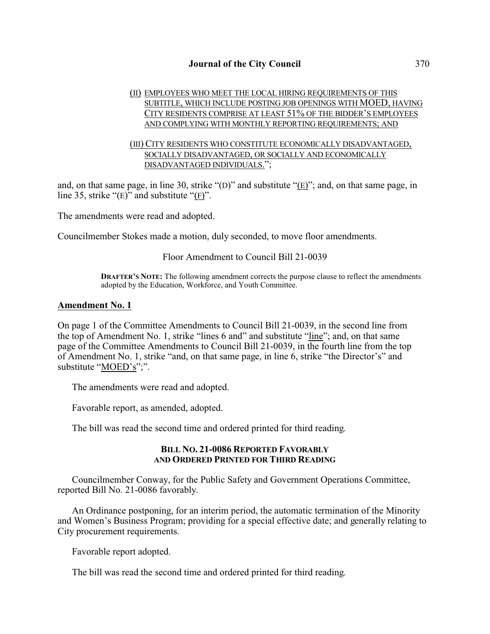# (II) EMPLOYEES WHO MEET THE LOCAL HIRING REQUIREMENTS OF THIS SUBTITLE, WHICH INCLUDE POSTING JOB OPENINGS WITH MOED, HAVING CITY RESIDENTS COMPRISE AT LEAST 51% OF THE BIDDER'S EMPLOYEES AND COMPLYING WITH MONTHLY REPORTING REQUIREMENTS; AND

## (III) CITY RESIDENTS WHO CONSTITUTE ECONOMICALLY DISADVANTAGED, SOCIALLY DISADVANTAGED, OR SOCIALLY AND ECONOMICALLY DISADVANTAGED INDIVIDUALS.";

and, on that same page, in line 30, strike "(D)" and substitute "(E)"; and, on that same page, in line 35, strike "(E)" and substitute "(F)".

The amendments were read and adopted.

Councilmember Stokes made a motion, duly seconded, to move floor amendments.

#### Floor Amendment to Council Bill 21-0039

**DRAFTER'S NOTE:** The following amendment corrects the purpose clause to reflect the amendments adopted by the Education, Workforce, and Youth Committee.

#### **Amendment No. 1**

On page 1 of the Committee Amendments to Council Bill 21-0039, in the second line from the top of Amendment No. 1, strike "lines 6 and" and substitute "line"; and, on that same page of the Committee Amendments to Council Bill 21-0039, in the fourth line from the top of Amendment No. 1, strike "and, on that same page, in line 6, strike "the Director's" and substitute "MOED's";".

The amendments were read and adopted.

Favorable report, as amended, adopted.

The bill was read the second time and ordered printed for third reading.

#### **BILL NO. 21-0086 REPORTED FAVORABLY AND ORDERED PRINTED FOR THIRD READING**

Councilmember Conway, for the Public Safety and Government Operations Committee, reported Bill No. 21-0086 favorably.

An Ordinance postponing, for an interim period, the automatic termination of the Minority and Women's Business Program; providing for a special effective date; and generally relating to City procurement requirements.

Favorable report adopted.

The bill was read the second time and ordered printed for third reading.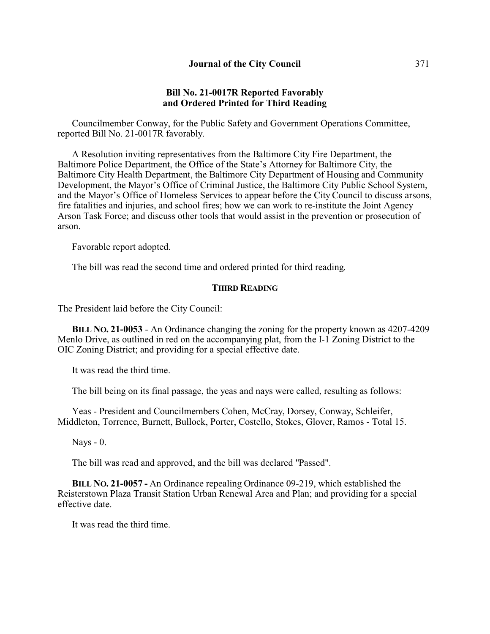## **Bill No. 21-0017R Reported Favorably and Ordered Printed for Third Reading**

Councilmember Conway, for the Public Safety and Government Operations Committee, reported Bill No. 21-0017R favorably.

A Resolution inviting representatives from the Baltimore City Fire Department, the Baltimore Police Department, the Office of the State's Attorney for Baltimore City, the Baltimore City Health Department, the Baltimore City Department of Housing and Community Development, the Mayor's Office of Criminal Justice, the Baltimore City Public School System, and the Mayor's Office of Homeless Services to appear before the City Council to discuss arsons, fire fatalities and injuries, and school fires; how we can work to re-institute the Joint Agency Arson Task Force; and discuss other tools that would assist in the prevention or prosecution of arson.

Favorable report adopted.

The bill was read the second time and ordered printed for third reading.

## **THIRD READING**

The President laid before the City Council:

**BILL NO. 21-0053** - An Ordinance changing the zoning for the property known as 4207-4209 Menlo Drive, as outlined in red on the accompanying plat, from the I-1 Zoning District to the OIC Zoning District; and providing for a special effective date.

It was read the third time.

The bill being on its final passage, the yeas and nays were called, resulting as follows:

Yeas - President and Councilmembers Cohen, McCray, Dorsey, Conway, Schleifer, Middleton, Torrence, Burnett, Bullock, Porter, Costello, Stokes, Glover, Ramos - Total 15.

Nays - 0.

The bill was read and approved, and the bill was declared "Passed".

**BILL NO. 21-0057 -** An Ordinance repealing Ordinance 09-219, which established the Reisterstown Plaza Transit Station Urban Renewal Area and Plan; and providing for a special effective date.

It was read the third time.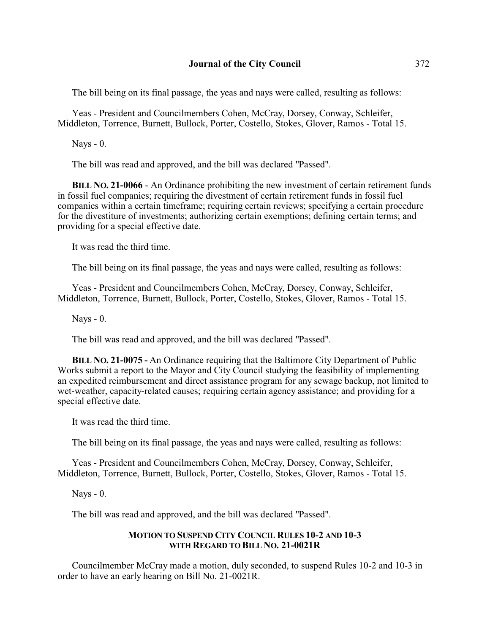The bill being on its final passage, the yeas and nays were called, resulting as follows:

Yeas - President and Councilmembers Cohen, McCray, Dorsey, Conway, Schleifer, Middleton, Torrence, Burnett, Bullock, Porter, Costello, Stokes, Glover, Ramos - Total 15.

Nays - 0.

The bill was read and approved, and the bill was declared "Passed".

**BILL NO. 21-0066** - An Ordinance prohibiting the new investment of certain retirement funds in fossil fuel companies; requiring the divestment of certain retirement funds in fossil fuel companies within a certain timeframe; requiring certain reviews; specifying a certain procedure for the divestiture of investments; authorizing certain exemptions; defining certain terms; and providing for a special effective date.

It was read the third time.

The bill being on its final passage, the yeas and nays were called, resulting as follows:

Yeas - President and Councilmembers Cohen, McCray, Dorsey, Conway, Schleifer, Middleton, Torrence, Burnett, Bullock, Porter, Costello, Stokes, Glover, Ramos - Total 15.

Nays - 0.

The bill was read and approved, and the bill was declared "Passed".

**BILL NO. 21-0075 -** An Ordinance requiring that the Baltimore City Department of Public Works submit a report to the Mayor and City Council studying the feasibility of implementing an expedited reimbursement and direct assistance program for any sewage backup, not limited to wet-weather, capacity-related causes; requiring certain agency assistance; and providing for a special effective date.

It was read the third time.

The bill being on its final passage, the yeas and nays were called, resulting as follows:

Yeas - President and Councilmembers Cohen, McCray, Dorsey, Conway, Schleifer, Middleton, Torrence, Burnett, Bullock, Porter, Costello, Stokes, Glover, Ramos - Total 15.

Nays - 0.

The bill was read and approved, and the bill was declared "Passed".

# **MOTION TO SUSPEND CITY COUNCIL RULES 10-2 AND 10-3 WITH REGARD TO BILL NO. 21-0021R**

Councilmember McCray made a motion, duly seconded, to suspend Rules 10-2 and 10-3 in order to have an early hearing on Bill No. 21-0021R.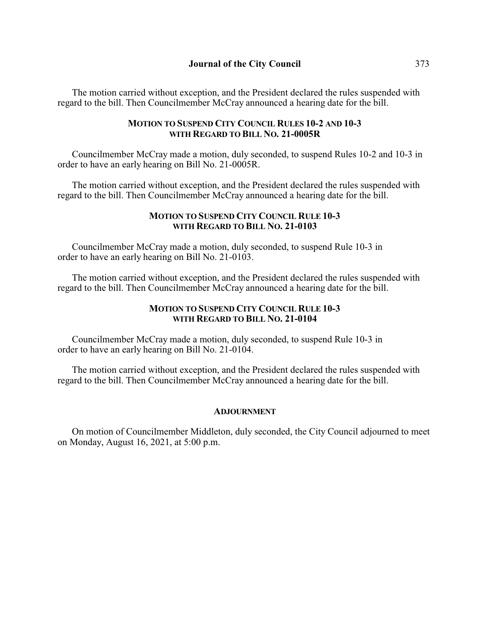The motion carried without exception, and the President declared the rules suspended with regard to the bill. Then Councilmember McCray announced a hearing date for the bill.

# **MOTION TO SUSPEND CITY COUNCIL RULES 10-2 AND 10-3 WITH REGARD TO BILL NO. 21-0005R**

Councilmember McCray made a motion, duly seconded, to suspend Rules 10-2 and 10-3 in order to have an early hearing on Bill No. 21-0005R.

The motion carried without exception, and the President declared the rules suspended with regard to the bill. Then Councilmember McCray announced a hearing date for the bill.

## **MOTION TO SUSPEND CITY COUNCIL RULE 10-3 WITH REGARD TO BILL NO. 21-0103**

Councilmember McCray made a motion, duly seconded, to suspend Rule 10-3 in order to have an early hearing on Bill No. 21-0103.

The motion carried without exception, and the President declared the rules suspended with regard to the bill. Then Councilmember McCray announced a hearing date for the bill.

# **MOTION TO SUSPEND CITY COUNCIL RULE 10-3 WITH REGARD TO BILL NO. 21-0104**

Councilmember McCray made a motion, duly seconded, to suspend Rule 10-3 in order to have an early hearing on Bill No. 21-0104.

The motion carried without exception, and the President declared the rules suspended with regard to the bill. Then Councilmember McCray announced a hearing date for the bill.

## **ADJOURNMENT**

On motion of Councilmember Middleton, duly seconded, the City Council adjourned to meet on Monday, August 16, 2021, at 5:00 p.m.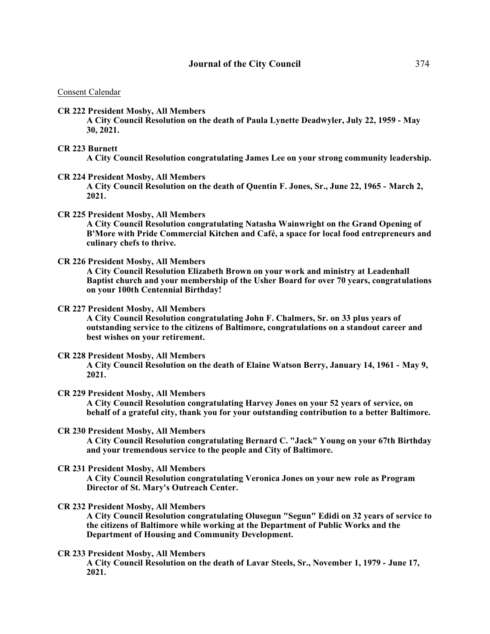#### Consent Calendar

**CR 222 President Mosby, All Members**

**A City Council Resolution on the death of Paula Lynette Deadwyler, July 22, 1959 - May 30, 2021.** 

**CR 223 Burnett**

**A City Council Resolution congratulating James Lee on your strong community leadership.** 

**CR 224 President Mosby, All Members**

**A City Council Resolution on the death of Quentin F. Jones, Sr., June 22, 1965 - March 2, 2021.**

**CR 225 President Mosby, All Members**

**A City Council Resolution congratulating Natasha Wainwright on the Grand Opening of B'More with Pride Commercial Kitchen and Café, a space for local food entrepreneurs and culinary chefs to thrive.** 

**CR 226 President Mosby, All Members**

**A City Council Resolution Elizabeth Brown on your work and ministry at Leadenhall Baptist church and your membership of the Usher Board for over 70 years, congratulations on your 100th Centennial Birthday!**

#### **CR 227 President Mosby, All Members**

**A City Council Resolution congratulating John F. Chalmers, Sr. on 33 plus years of outstanding service to the citizens of Baltimore, congratulations on a standout career and best wishes on your retirement.** 

#### **CR 228 President Mosby, All Members**

**A City Council Resolution on the death of Elaine Watson Berry, January 14, 1961 - May 9, 2021.** 

**CR 229 President Mosby, All Members**

**A City Council Resolution congratulating Harvey Jones on your 52 years of service, on behalf of a grateful city, thank you for your outstanding contribution to a better Baltimore.** 

**CR 230 President Mosby, All Members**

**A City Council Resolution congratulating Bernard C. "Jack" Young on your 67th Birthday and your tremendous service to the people and City of Baltimore.** 

**CR 231 President Mosby, All Members**

**A City Council Resolution congratulating Veronica Jones on your new role as Program Director of St. Mary's Outreach Center.** 

**CR 232 President Mosby, All Members**

**A City Council Resolution congratulating Olusegun "Segun" Edidi on 32 years of service to the citizens of Baltimore while working at the Department of Public Works and the Department of Housing and Community Development.**

**CR 233 President Mosby, All Members**

**A City Council Resolution on the death of Lavar Steels, Sr., November 1, 1979 - June 17, 2021.**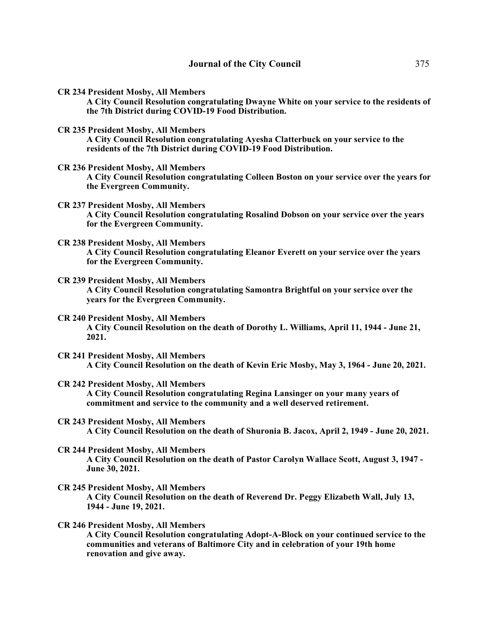**CR 234 President Mosby, All Members**

**A City Council Resolution congratulating Dwayne White on your service to the residents of the 7th District during COVID-19 Food Distribution.** 

**CR 235 President Mosby, All Members**

**A City Council Resolution congratulating Ayesha Clatterbuck on your service to the residents of the 7th District during COVID-19 Food Distribution.** 

**CR 236 President Mosby, All Members**

**A City Council Resolution congratulating Colleen Boston on your service over the years for the Evergreen Community.** 

- **CR 237 President Mosby, All Members A City Council Resolution congratulating Rosalind Dobson on your service over the years for the Evergreen Community.**
- **CR 238 President Mosby, All Members**

**A City Council Resolution congratulating Eleanor Everett on your service over the years for the Evergreen Community.** 

- **CR 239 President Mosby, All Members A City Council Resolution congratulating Samontra Brightful on your service over the years for the Evergreen Community.**
- **CR 240 President Mosby, All Members A City Council Resolution on the death of Dorothy L. Williams, April 11, 1944 - June 21, 2021.**
- **CR 241 President Mosby, All Members A City Council Resolution on the death of Kevin Eric Mosby, May 3, 1964 - June 20, 2021.**
- **CR 242 President Mosby, All Members A City Council Resolution congratulating Regina Lansinger on your many years of commitment and service to the community and a well deserved retirement.**
- **CR 243 President Mosby, All Members A City Council Resolution on the death of Shuronia B. Jacox, April 2, 1949 - June 20, 2021.**
- **CR 244 President Mosby, All Members A City Council Resolution on the death of Pastor Carolyn Wallace Scott, August 3, 1947 - June 30, 2021.**
- **CR 245 President Mosby, All Members A City Council Resolution on the death of Reverend Dr. Peggy Elizabeth Wall, July 13, 1944 - June 19, 2021.**
- **CR 246 President Mosby, All Members A City Council Resolution congratulating Adopt-A-Block on your continued service to the communities and veterans of Baltimore City and in celebration of your 19th home renovation and give away.**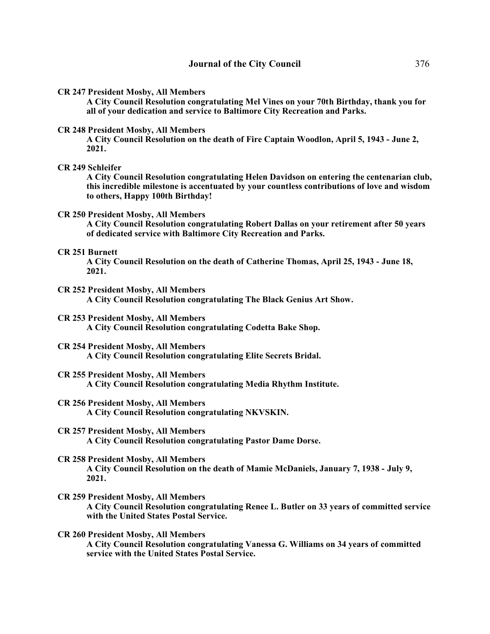**CR 247 President Mosby, All Members**

**A City Council Resolution congratulating Mel Vines on your 70th Birthday, thank you for all of your dedication and service to Baltimore City Recreation and Parks.** 

#### **CR 248 President Mosby, All Members**

**A City Council Resolution on the death of Fire Captain Woodlon, April 5, 1943 - June 2, 2021.**

#### **CR 249 Schleifer**

**A City Council Resolution congratulating Helen Davidson on entering the centenarian club, this incredible milestone is accentuated by your countless contributions of love and wisdom to others, Happy 100th Birthday!**

#### **CR 250 President Mosby, All Members**

**A City Council Resolution congratulating Robert Dallas on your retirement after 50 years of dedicated service with Baltimore City Recreation and Parks.** 

#### **CR 251 Burnett**

**A City Council Resolution on the death of Catherine Thomas, April 25, 1943 - June 18, 2021.** 

**CR 252 President Mosby, All Members**

**A City Council Resolution congratulating The Black Genius Art Show.**

## **CR 253 President Mosby, All Members**

**A City Council Resolution congratulating Codetta Bake Shop.** 

#### **CR 254 President Mosby, All Members**

**A City Council Resolution congratulating Elite Secrets Bridal.**

#### **CR 255 President Mosby, All Members A City Council Resolution congratulating Media Rhythm Institute.**

#### **CR 256 President Mosby, All Members A City Council Resolution congratulating NKVSKIN.**

#### **CR 257 President Mosby, All Members A City Council Resolution congratulating Pastor Dame Dorse.**

#### **CR 258 President Mosby, All Members**

**A City Council Resolution on the death of Mamie McDaniels, January 7, 1938 - July 9, 2021.**

# **CR 259 President Mosby, All Members**

**A City Council Resolution congratulating Renee L. Butler on 33 years of committed service with the United States Postal Service.** 

#### **CR 260 President Mosby, All Members A City Council Resolution congratulating Vanessa G. Williams on 34 years of committed service with the United States Postal Service.**